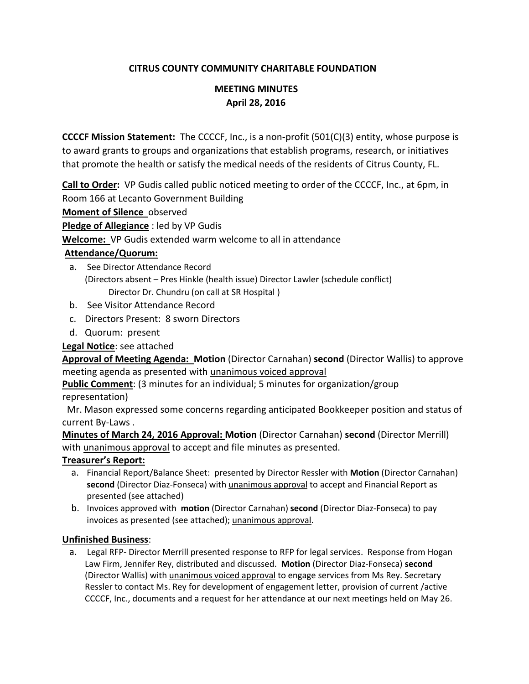### **CITRUS COUNTY COMMUNITY CHARITABLE FOUNDATION**

## **MEETING MINUTES April 28, 2016**

**CCCCF Mission Statement:** The CCCCF, Inc., is a non-profit (501(C)(3) entity, whose purpose is to award grants to groups and organizations that establish programs, research, or initiatives that promote the health or satisfy the medical needs of the residents of Citrus County, FL.

**Call to Order:** VP Gudis called public noticed meeting to order of the CCCCF, Inc., at 6pm, in Room 166 at Lecanto Government Building **Moment of Silence** observed **Pledge of Allegiance** : led by VP Gudis

**Welcome:** VP Gudis extended warm welcome to all in attendance

### **Attendance/Quorum:**

- a. See Director Attendance Record (Directors absent – Pres Hinkle (health issue) Director Lawler (schedule conflict) Director Dr. Chundru (on call at SR Hospital )
- b. See Visitor Attendance Record
- c. Directors Present: 8 sworn Directors
- d. Quorum: present

**Legal Notice**: see attached

**Approval of Meeting Agenda: Motion** (Director Carnahan) **second** (Director Wallis) to approve meeting agenda as presented with unanimous voiced approval

**Public Comment**: (3 minutes for an individual; 5 minutes for organization/group representation)

 Mr. Mason expressed some concerns regarding anticipated Bookkeeper position and status of current By-Laws .

**Minutes of March 24, 2016 Approval: Motion** (Director Carnahan) **second** (Director Merrill) with unanimous approval to accept and file minutes as presented.

#### **Treasurer's Report:**

- a. Financial Report/Balance Sheet: presented by Director Ressler with **Motion** (Director Carnahan) **second** (Director Diaz-Fonseca) with unanimous approval to accept and Financial Report as presented (see attached)
- b. Invoices approved with **motion** (Director Carnahan) **second** (Director Diaz-Fonseca) to pay invoices as presented (see attached); unanimous approval.

#### **Unfinished Business**:

a. Legal RFP- Director Merrill presented response to RFP for legal services. Response from Hogan Law Firm, Jennifer Rey, distributed and discussed. **Motion** (Director Diaz-Fonseca) **second**  (Director Wallis) with unanimous voiced approval to engage services from Ms Rey. Secretary Ressler to contact Ms. Rey for development of engagement letter, provision of current /active CCCCF, Inc., documents and a request for her attendance at our next meetings held on May 26.